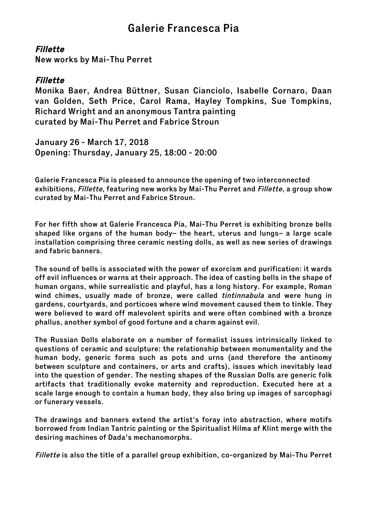## Galerie Francesca Pia

## Fillette

New works by Mai-Thu Perret

## Fillette

Monika Baer, Andrea Büttner, Susan Cianciolo, Isabelle Cornaro, Daan van Golden, Seth Price, Carol Rama, Hayley Tompkins, Sue Tompkins, Richard Wright and an anonymous Tantra painting curated by Mai-Thu Perret and Fabrice Stroun

January 26 - March 17, 2018 Opening: Thursday, January 25, 18:00 - 20:00

Galerie Francesca Pia is pleased to announce the opening of two interconnected exhibitions, *Fillette*, featuring new works by Mai-Thu Perret and *Fillette*, a group show curated by Mai-Thu Perret and Fabrice Stroun.

For her fifth show at Galerie Francesca Pia, Mai-Thu Perret is exhibiting bronze bells shaped like organs of the human body– the heart, uterus and lungs– a large scale installation comprising three ceramic nesting dolls, as well as new series of drawings and fabric banners.

The sound of bells is associated with the power of exorcism and purification: it wards off evil influences or warns at their approach. The idea of casting bells in the shape of human organs, while surrealistic and playful, has a long history. For example, Roman wind chimes, usually made of bronze, were called *tintinnabula* and were hung in gardens, courtyards, and porticoes where wind movement caused them to tinkle. They were believed to ward off malevolent spirits and were often combined with a bronze phallus, another symbol of good fortune and a charm against evil.

The Russian Dolls elaborate on a number of formalist issues intrinsically linked to questions of ceramic and sculpture: the relationship between monumentality and the human body, generic forms such as pots and urns (and therefore the antinomy between sculpture and containers, or arts and crafts), issues which inevitably lead into the question of gender. The nesting shapes of the Russian Dolls are generic folk artifacts that traditionally evoke maternity and reproduction. Executed here at a scale large enough to contain a human body, they also bring up images of sarcophagi or funerary vessels.

The drawings and banners extend the artist's foray into abstraction, where motifs borrowed from Indian Tantric painting or the Spiritualist Hilma af Klint merge with the desiring machines of Dada's mechanomorphs.

Fillette is also the title of a parallel group exhibition, co-organized by Mai-Thu Perret